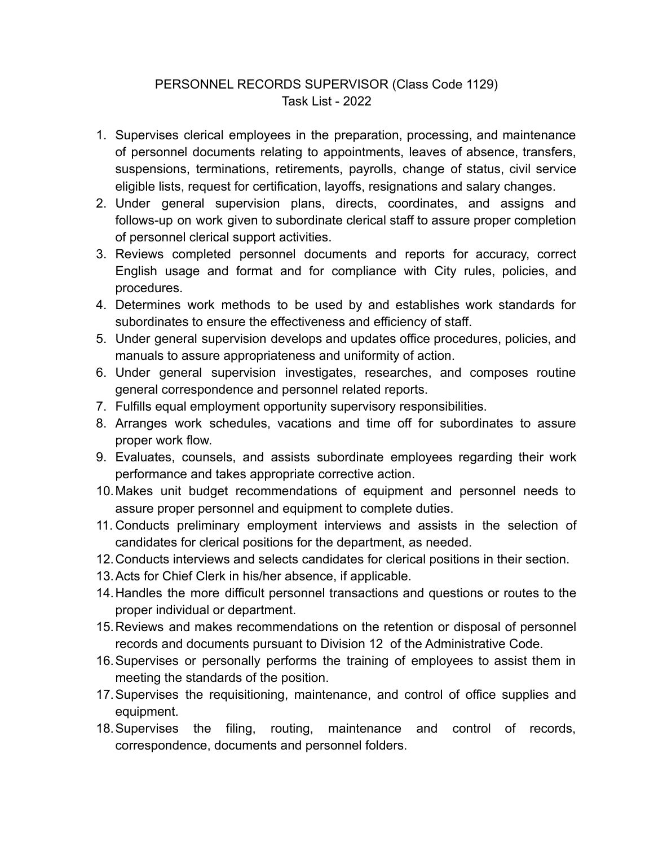## PERSONNEL RECORDS SUPERVISOR (Class Code 1129) Task List - 2022

- 1. Supervises clerical employees in the preparation, processing, and maintenance of personnel documents relating to appointments, leaves of absence, transfers, suspensions, terminations, retirements, payrolls, change of status, civil service eligible lists, request for certification, layoffs, resignations and salary changes.
- 2. Under general supervision plans, directs, coordinates, and assigns and follows-up on work given to subordinate clerical staff to assure proper completion of personnel clerical support activities.
- 3. Reviews completed personnel documents and reports for accuracy, correct English usage and format and for compliance with City rules, policies, and procedures.
- 4. Determines work methods to be used by and establishes work standards for subordinates to ensure the effectiveness and efficiency of staff.
- 5. Under general supervision develops and updates office procedures, policies, and manuals to assure appropriateness and uniformity of action.
- 6. Under general supervision investigates, researches, and composes routine general correspondence and personnel related reports.
- 7. Fulfills equal employment opportunity supervisory responsibilities.
- 8. Arranges work schedules, vacations and time off for subordinates to assure proper work flow.
- 9. Evaluates, counsels, and assists subordinate employees regarding their work performance and takes appropriate corrective action.
- 10.Makes unit budget recommendations of equipment and personnel needs to assure proper personnel and equipment to complete duties.
- 11. Conducts preliminary employment interviews and assists in the selection of candidates for clerical positions for the department, as needed.
- 12.Conducts interviews and selects candidates for clerical positions in their section.
- 13.Acts for Chief Clerk in his/her absence, if applicable.
- 14.Handles the more difficult personnel transactions and questions or routes to the proper individual or department.
- 15.Reviews and makes recommendations on the retention or disposal of personnel records and documents pursuant to Division 12 of the Administrative Code.
- 16.Supervises or personally performs the training of employees to assist them in meeting the standards of the position.
- 17.Supervises the requisitioning, maintenance, and control of office supplies and equipment.
- 18.Supervises the filing, routing, maintenance and control of records, correspondence, documents and personnel folders.